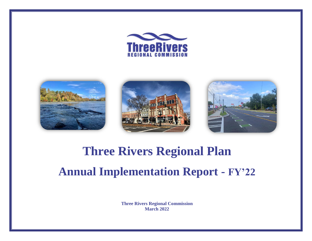







## **Three Rivers Regional Plan Annual Implementation Report - FY'22**

**Three Rivers Regional Commission March 2022**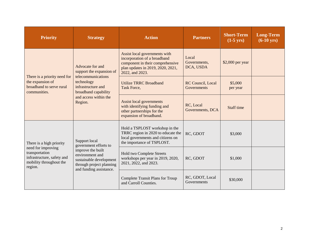| <b>Priority</b>                                                                                          | <b>Strategy</b>                                                                                                        | <b>Action</b><br><b>Partners</b>                                                                                                                          |                                         | <b>Short-Term</b><br>$(1-5$ yrs) | <b>Long-Term</b><br>$(6-10 \text{ yrs})$ |
|----------------------------------------------------------------------------------------------------------|------------------------------------------------------------------------------------------------------------------------|-----------------------------------------------------------------------------------------------------------------------------------------------------------|-----------------------------------------|----------------------------------|------------------------------------------|
|                                                                                                          | Advocate for and<br>support the expansion of<br>telecommunications                                                     | Assist local governments with<br>incorporation of a broadband<br>component in their comprehensive<br>plan updates in 2019, 2020, 2021,<br>2022, and 2023. | Local<br>Governments,<br>DCA, USDA      | \$2,000 per year                 |                                          |
| There is a priority need for<br>the expansion of<br>broadband to serve rural<br>communities.             | technology<br>infrastructure and<br>broadband capability                                                               | <b>Utilize TRRC Broadband</b><br>Task Force,                                                                                                              | RC Council, Local<br><b>Governments</b> | \$5,000<br>per year              |                                          |
|                                                                                                          | and access within the<br>Region.                                                                                       | <b>Assist local governments</b><br>with identifying funding and<br>other partnerships for the<br>expansion of broadband.                                  | RC, Local<br>Governments, DCA           | Staff time                       |                                          |
| There is a high priority                                                                                 | Support local<br>government efforts to                                                                                 | Hold a TSPLOST workshop in the<br>TRRC region in 2020 to educate the<br>local governments and citizens on<br>the importance of TSPLOST.                   | RC, GDOT                                | \$3,000                          |                                          |
| need for improving<br>transportation<br>infrastructure, safety and<br>mobility throughout the<br>region. | improve the built<br>environment and<br>sustainable development<br>through project planning<br>and funding assistance. | <b>Hold two Complete Streets</b><br>workshops per year in 2019, 2020,<br>2021, 2022, and 2023.                                                            | RC, GDOT                                | \$1,000                          |                                          |
|                                                                                                          |                                                                                                                        | RC, GDOT, Local<br><b>Complete Transit Plans for Troup</b><br>\$30,000<br>Governments<br>and Carroll Counties.                                            |                                         |                                  |                                          |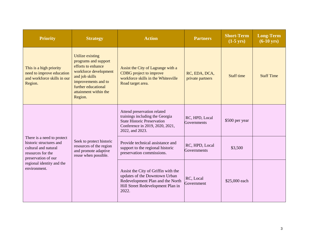| <b>Priority</b>                                                                                                                                                        | <b>Strategy</b>                                                                                                                                                                                    | <b>Action</b>                                                                                                                                              | <b>Partners</b>                   | <b>Short-Term</b><br>$(1-5$ yrs) | <b>Long-Term</b><br>$(6-10 \text{ yrs})$ |
|------------------------------------------------------------------------------------------------------------------------------------------------------------------------|----------------------------------------------------------------------------------------------------------------------------------------------------------------------------------------------------|------------------------------------------------------------------------------------------------------------------------------------------------------------|-----------------------------------|----------------------------------|------------------------------------------|
| This is a high priority<br>need to improve education<br>and workforce skills in our<br>Region.                                                                         | <b>Utilize existing</b><br>programs and support<br>efforts to enhance<br>workforce development<br>and job skills<br>improvements and to<br>further educational<br>attainment within the<br>Region. | Assist the City of Lagrange with a<br><b>CDBG</b> project to improve<br>workforce skills in the Whitesville<br>Road target area.                           | RC, EDA, DCA,<br>private partners | <b>Staff time</b>                | <b>Staff Time</b>                        |
| There is a need to protect<br>historic structures and<br>cultural and natural<br>resources for the<br>preservation of our<br>regional identity and the<br>environment. | Seek to protect historic<br>resources of the region<br>and promote adaptive<br>reuse when possible.                                                                                                | Attend preservation related<br>trainings including the Georgia<br><b>State Historic Preservation</b><br>Conference in 2019, 2020, 2021,<br>2022, and 2023. | RC, HPD, Local<br>Governments     | \$500 per year                   |                                          |
|                                                                                                                                                                        |                                                                                                                                                                                                    | Provide technical assistance and<br>support to the regional historic<br>preservation commissions.                                                          | RC, HPD, Local<br>Governments     | \$3,500                          |                                          |
|                                                                                                                                                                        |                                                                                                                                                                                                    | Assist the City of Griffin with the<br>updates of the Downtown Urban<br>Redevelopment Plan and the North<br>Hill Street Redevelopment Plan in<br>2022.     | RC, Local<br>Government           | \$25,000 each                    |                                          |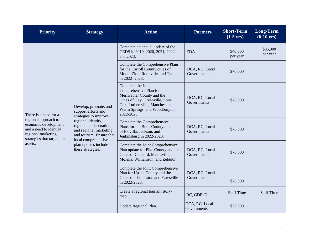| <b>Priority</b>                                                                                                                                                | <b>Strategy</b>                                                                                                            | <b>Action</b>                                                                                                                                                                                 | <b>Partners</b>               | <b>Short-Term</b><br>$(1-5$ yrs) | <b>Long-Term</b><br>$(6-10 \text{ yrs})$ |
|----------------------------------------------------------------------------------------------------------------------------------------------------------------|----------------------------------------------------------------------------------------------------------------------------|-----------------------------------------------------------------------------------------------------------------------------------------------------------------------------------------------|-------------------------------|----------------------------------|------------------------------------------|
| There is a need for a<br>regional approach to<br>economic development<br>and a need to identify<br>regional marketing<br>strategies that target our<br>assets. |                                                                                                                            | Complete an annual update of the<br>CEDS in 2019, 2020, 2021, 2022,<br>and 2023.                                                                                                              | <b>EDA</b>                    | \$40,000<br>per year             | \$95,000<br>per year                     |
|                                                                                                                                                                |                                                                                                                            | Complete the Comprehensive Plans<br>for the Carroll County cities of<br>Mount Zion, Roopville, and Temple<br>in 2022-2023.                                                                    | DCA, RC, Local<br>Governments | \$70,000                         |                                          |
|                                                                                                                                                                | Develop, promote, and<br>support efforts and<br>strategies to improve                                                      | Complete the Joint<br>Comprehensive Plan for<br>Meriwether County and the<br>Cities of Gay, Greenville, Lone<br>Oak, Luthersville, Manchester,<br>Warm Springs, and Woodbury in<br>2022-2023. | DCA, RC, Local<br>Governments | \$70,000                         |                                          |
|                                                                                                                                                                | regional identity,<br>regional collaboration,<br>and regional marketing<br>and tourism. Ensure that<br>local comprehensive | Complete the Comprehensive<br>Plans for the Butts County cities<br>of Flovilla, Jackson, and<br>Jenkinsburg in 2022-2023.                                                                     | DCA, RC, Local<br>Governments | \$70,000                         |                                          |
|                                                                                                                                                                | plan updates include<br>these strategies.                                                                                  | Complete the Joint Comprehensive<br>Plan update for Pike County and the<br>Cities of Concord, Meansville,<br>Molena, Williamson, and Zebulon.                                                 | DCA, RC, Local<br>Governments | \$70,000                         |                                          |
|                                                                                                                                                                |                                                                                                                            | Complete the Joint Comprehensive<br>Plan for Upson County and the<br>Cities of Thomaston and Yatesville<br>in 2022-2023.                                                                      | DCA, RC, Local<br>Governments | \$70,000                         |                                          |
|                                                                                                                                                                |                                                                                                                            | Create a regional tourism story-<br>map.                                                                                                                                                      | RC, GDEcD                     | <b>Staff Time</b>                | <b>Staff Time</b>                        |
|                                                                                                                                                                |                                                                                                                            | Update Regional Plan.                                                                                                                                                                         | DCA, RC, Local<br>Governments | \$20,000                         |                                          |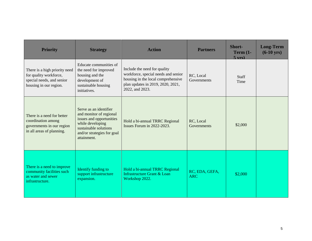| <b>Priority</b>                                                                                                | <b>Strategy</b>                                                                                                                                                         | <b>Action</b>                                                                                                                                                                                 | <b>Partners</b>              | Short-<br>Term $(1-$<br>$5 \text{ vrs}$ | <b>Long-Term</b><br>$(6-10 \text{ yrs})$ |
|----------------------------------------------------------------------------------------------------------------|-------------------------------------------------------------------------------------------------------------------------------------------------------------------------|-----------------------------------------------------------------------------------------------------------------------------------------------------------------------------------------------|------------------------------|-----------------------------------------|------------------------------------------|
| There is a high priority need<br>for quality workforce,<br>special needs, and senior<br>housing in our region. | Educate communities of<br>the need for improved<br>housing and the<br>development of<br>sustainable housing<br>initiatives.                                             | Include the need for quality<br>workforce, special needs and senior<br>RC, Local<br>housing in the local comprehensive<br>Governments<br>plan updates in 2019, 2020, 2021,<br>2022, and 2023. |                              | <b>Staff</b><br>Time                    |                                          |
| There is a need for better<br>coordination among<br>governments in our region<br>in all areas of planning.     | Serve as an identifier<br>and monitor of regional<br>issues and opportunities<br>while developing<br>sustainable solutions<br>and/or strategies for goal<br>attainment. | Hold a bi-annual TRRC Regional<br>Issues Forum in 2022-2023.                                                                                                                                  | RC, Local<br>Governments     | \$2,000                                 |                                          |
| There is a need to improve<br>community facilities such<br>as water and sewer<br>infrastructure.               | Identify funding to<br>support infrastructure<br>expansion.                                                                                                             | Hold a bi-annual TRRC Regional<br>Infrastructure Grant & Loan<br>Workshop 2022.                                                                                                               | RC, EDA, GEFA,<br><b>ARC</b> | \$2,000                                 |                                          |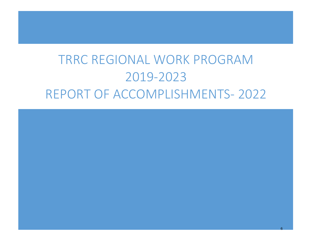## TRRC REGIONAL WORK PROGRAM 2019-2023 REPORT OF ACCOMPLISHMENTS- 2022

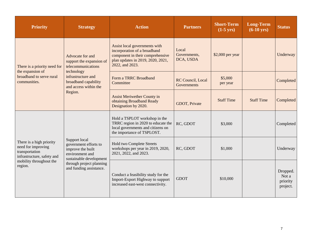| <b>Priority</b>                                                                                                                      | <b>Strategy</b>                                                                                           | <b>Action</b>                                                                                                                                             | <b>Partners</b>                    | <b>Short-Term</b><br>$(1-5$ yrs) | <b>Long-Term</b><br>$(6-10 \text{ yrs})$ | <b>Status</b>                             |
|--------------------------------------------------------------------------------------------------------------------------------------|-----------------------------------------------------------------------------------------------------------|-----------------------------------------------------------------------------------------------------------------------------------------------------------|------------------------------------|----------------------------------|------------------------------------------|-------------------------------------------|
| There is a priority need for<br>the expansion of<br>broadband to serve rural<br>communities.                                         | Advocate for and<br>support the expansion of<br>telecommunications                                        | Assist local governments with<br>incorporation of a broadband<br>component in their comprehensive<br>plan updates in 2019, 2020, 2021,<br>2022, and 2023. | Local<br>Governments,<br>DCA, USDA | \$2,000 per year                 |                                          | Underway                                  |
|                                                                                                                                      | technology<br>infrastructure and<br>broadband capability<br>and access within the                         | Form a TRRC Broadband<br>Committee                                                                                                                        | RC Council, Local<br>Governments   | \$5,000<br>per year              |                                          | Completed                                 |
|                                                                                                                                      | Region.                                                                                                   | <b>Assist Meriwether County in</b><br>obtaining Broadband Ready<br>Designation by 2020.                                                                   | GDOT, Private                      | <b>Staff Time</b>                | <b>Staff Time</b>                        | Completed                                 |
| There is a high priority<br>need for improving<br>transportation<br>infrastructure, safety and<br>mobility throughout the<br>region. |                                                                                                           | Hold a TSPLOT workshop in the<br>TRRC region in 2020 to educate the<br>local governments and citizens on<br>the importance of TSPLOST.                    | RC, GDOT                           | \$3,000                          |                                          | Completed                                 |
|                                                                                                                                      | Support local<br>government efforts to<br>improve the built<br>environment and<br>sustainable development | <b>Hold two Complete Streets</b><br>workshops per year in 2019, 2020,<br>2021, 2022, and 2023.                                                            | RC, GDOT                           | \$1,000                          |                                          | Underway                                  |
|                                                                                                                                      | through project planning<br>and funding assistance.                                                       | Conduct a feasibility study for the<br>Import-Export Highway to support<br>increased east-west connectivity.                                              | <b>GDOT</b>                        | \$10,000                         |                                          | Dropped.<br>Not a<br>priority<br>project. |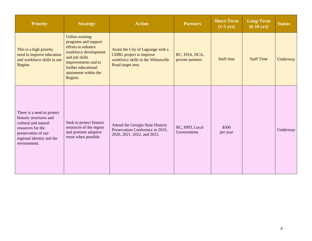| <b>Priority</b>                                                                                                                                                        | <b>Strategy</b>                                                                                                                                                                                    | <b>Action</b>                                                                                                                    | <b>Partners</b>                   | <b>Short-Term</b><br>$(1-5$ yrs) | <b>Long-Term</b><br>$(6-10 \text{ yrs})$ | <b>Status</b> |
|------------------------------------------------------------------------------------------------------------------------------------------------------------------------|----------------------------------------------------------------------------------------------------------------------------------------------------------------------------------------------------|----------------------------------------------------------------------------------------------------------------------------------|-----------------------------------|----------------------------------|------------------------------------------|---------------|
| This is a high priority<br>need to improve education<br>and workforce skills in our<br>Region.                                                                         | <b>Utilize existing</b><br>programs and support<br>efforts to enhance<br>workforce development<br>and job skills<br>improvements and to<br>further educational<br>attainment within the<br>Region. | Assist the City of Lagrange with a<br><b>CDBG</b> project to improve<br>workforce skills in the Whitesville<br>Road target area. | RC, EDA, DCA,<br>private partners | <b>Staff time</b>                | <b>Staff Time</b>                        | Underway      |
| There is a need to protect<br>historic structures and<br>cultural and natural<br>resources for the<br>preservation of our<br>regional identity and the<br>environment. | Seek to protect historic<br>resources of the region<br>and promote adaptive<br>reuse when possible.                                                                                                | Attend the Georgia State Historic<br>Preservation Conference in 2019,<br>2020, 2021, 2022, and 2023.                             | RC, HPD, Local<br>Governments     | \$500<br>per year                |                                          | Underway      |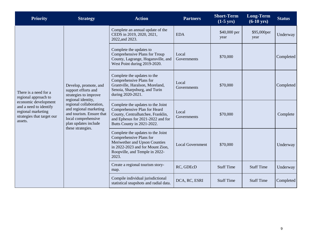| <b>Priority</b>                                                                                                                                                | <b>Strategy</b>                                                                                                                                   | <b>Action</b>                                                                                                                                                                | <b>Partners</b>         | <b>Short-Term</b><br>$(1-5$ yrs) | <b>Long-Term</b><br>$(6-10 \text{ yrs})$ | <b>Status</b> |
|----------------------------------------------------------------------------------------------------------------------------------------------------------------|---------------------------------------------------------------------------------------------------------------------------------------------------|------------------------------------------------------------------------------------------------------------------------------------------------------------------------------|-------------------------|----------------------------------|------------------------------------------|---------------|
| There is a need for a<br>regional approach to<br>economic development<br>and a need to identify<br>regional marketing<br>strategies that target our<br>assets. |                                                                                                                                                   | Complete an annual update of the<br>CEDS in 2019, 2020, 2021,<br>2022, and 2023.                                                                                             | <b>EDA</b>              | \$40,000 per<br>year             | \$95,000per<br>year                      | Underway      |
|                                                                                                                                                                |                                                                                                                                                   | Complete the updates to<br>Comprehensive Plans for Troup<br>County, Lagrange, Hogansville, and<br>West Point during 2019-2020.                                               | Local<br>Governments    | \$70,000                         |                                          | Completed     |
|                                                                                                                                                                | Develop, promote, and<br>support efforts and<br>strategies to improve<br>regional identity,                                                       | Complete the updates to the<br>Comprehensive Plans for<br>Grantville, Haralson, Moreland,<br>Senoia, Sharpsburg, and Turin<br>during 2020-2021.                              | Local<br>Governments    | \$70,000                         |                                          | Completed     |
|                                                                                                                                                                | regional collaboration,<br>and regional marketing<br>and tourism. Ensure that<br>local comprehensive<br>plan updates include<br>these strategies. | Complete the updates to the Joint<br>Comprehensive Plan for Heard<br>County, Centralhatchee, Franklin,<br>and Ephesus for 2021-2022 and for<br>Butts County in 2021-2022.    | Local<br>Governments    | \$70,000                         |                                          | Complete      |
|                                                                                                                                                                |                                                                                                                                                   | Complete the updates to the Joint<br>Comprehensive Plans for<br>Meriwether and Upson Counties<br>in 2022-2023 and for Mount Zion,<br>Roopville, and Temple in 2022-<br>2023. | <b>Local Government</b> | \$70,000                         |                                          | Underway      |
|                                                                                                                                                                |                                                                                                                                                   | Create a regional tourism story-<br>map.                                                                                                                                     | RC, GDEcD               | <b>Staff Time</b>                | <b>Staff Time</b>                        | Underway      |
|                                                                                                                                                                |                                                                                                                                                   | Compile individual jurisdictional<br>statistical snapshots and radial data.                                                                                                  | DCA, RC, ESRI           | <b>Staff Time</b>                | <b>Staff Time</b>                        | Completed     |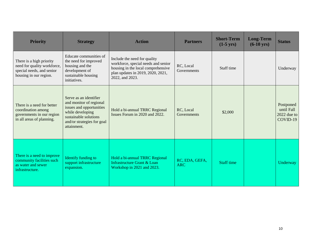| <b>Priority</b>                                                                                                | <b>Strategy</b>                                                                                                                                                         | <b>Action</b>                                                                                                                                                     | <b>Partners</b>              | <b>Short-Term</b><br>$(1-5$ yrs) | <b>Long-Term</b><br>$(6-10 \text{ yrs})$ | <b>Status</b>                                        |
|----------------------------------------------------------------------------------------------------------------|-------------------------------------------------------------------------------------------------------------------------------------------------------------------------|-------------------------------------------------------------------------------------------------------------------------------------------------------------------|------------------------------|----------------------------------|------------------------------------------|------------------------------------------------------|
| There is a high priority<br>need for quality workforce,<br>special needs, and senior<br>housing in our region. | Educate communities of<br>the need for improved<br>housing and the<br>development of<br>sustainable housing<br>initiatives.                                             | Include the need for quality<br>workforce, special needs and senior<br>housing in the local comprehensive<br>plan updates in 2019, 2020, 2021,<br>2022, and 2023. | RC, Local<br>Governments     | Staff time                       |                                          | Underway                                             |
| There is a need for better<br>coordination among<br>governments in our region<br>in all areas of planning.     | Serve as an identifier<br>and monitor of regional<br>issues and opportunities<br>while developing<br>sustainable solutions<br>and/or strategies for goal<br>attainment. | Hold a bi-annual TRRC Regional<br>Issues Forum in 2020 and 2022.                                                                                                  | RC, Local<br>Governments     | \$2,000                          |                                          | Postponed<br>until Fall<br>$2022$ due to<br>COVID-19 |
| There is a need to improve<br>community facilities such<br>as water and sewer<br>infrastructure.               | Identify funding to<br>support infrastructure<br>expansion.                                                                                                             | Hold a bi-annual TRRC Regional<br>Infrastructure Grant & Loan<br>Workshop in 2021 and 2023.                                                                       | RC, EDA, GEFA,<br><b>ARC</b> | <b>Staff time</b>                |                                          | Underway                                             |